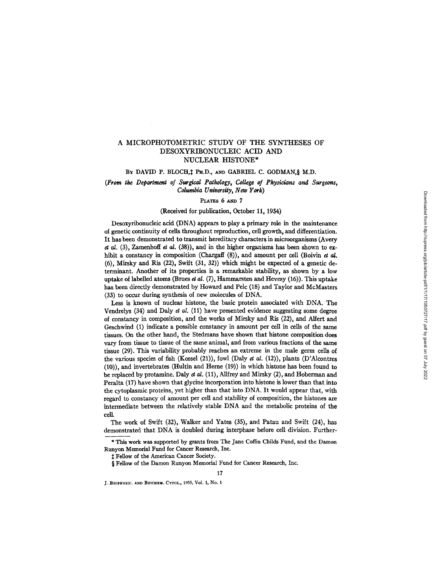# A MICROPHOTOMETRIC STUDY OF THE SYNTHESES OF DESOXYRIBONUCLEIC ACID AND NUCLEAR HISTONE\*

## BY DAVID P. BLOCH, 1 PH.D., AND GABRIEL C. GODMAN, § M.D.

(From *the Department of Surgical Pathology, College of Physicians and Surgeons, Columbia University, New York)* 

### **PLATES 6 AND 7**

## (Received for pubfication, October 11, 1954)

Desoxyribonucleic acid (DNA) appears to play a primary role in the maintenance of genetic continuity of cells throughout reproduction, cell growth, and differentiation. It has been demonstrated to transmit hereditary characters in microorganisms (Avery et al.  $(3)$ , Zamenhoff et al.  $(38)$ , and in the higher organisms has been shown to exhibit a constancy in composition (Chargaff  $(8)$ ), and amount per cell (Boivin *et al.* (6), Mirsky and Ris (22), Swift (31, 32)) which might be expected of a genetic determinant. Another of its properties is a remarkable stability, as shown by a low uptake of labelled atoms (Brues et al.  $(7)$ , Hammarsten and Hevesy  $(16)$ ). This uptake has been directly demonstrated by Howard and Pelc (18) and Taylor and McMasters (33) to occur during synthesis of new molecules of DNA.

Less is known of nuclear histone, the basic protein associated with DNA. The Vendrelys (34) and Daly *et al.* (11) have presented evidence suggesting some degree of constancy in composition, and the works of Mirsky and Ris (22), and Alfert and Geschwind (1) indicate a possible constancy in amount per cell in cells of the same tissues. On the other hand, the Stedmans have shown that histone composition does vary from tissue to tissue of the same animal, and from various fractions of the same tissue (29). This variability probably reaches an extreme in the male germ cells of the various species of fish  $(K$ ossel  $(21)$ ), fowl  $(Daly \tda. (12))$ , plants  $(D'A)$ lcontres (10)), and invertebrates (Hultin and Herne (19)) in which histone has been found to be replaced by protamine. Daly *et 02.* (11), Allfrey and Mirsky (2), and Hoberman and Peralta (17) have shown that glycine incorporation into histone is lower than that into the cytoplasmic proteins, yet higher than that into DNA. It would appear that, with regard to constancy of amount per cell and stability of composition, the histones are intermediate between the relatively stable I)NA and the metabolic proteins of the cell.

The work of Swift (32), Walker and Yates (35), and Patan and Swift (24), has demonstrated that DNA is doubled during interphase before cell division. Further-

\* This work was supported by grants from The Jane Coffin Childs Fund, and the Damon Runyon Memorial Fund for Cancer Research, Inc.

17

 $‡$  Fellow of the American Cancer Society.

§ Fellow of the Damon Runyon Memorial Fund for Cancer Research, Inc.

J. BIOPHYSIC. AND BIOCHEM. CYTOL., 1955, Vol. 1, No. 1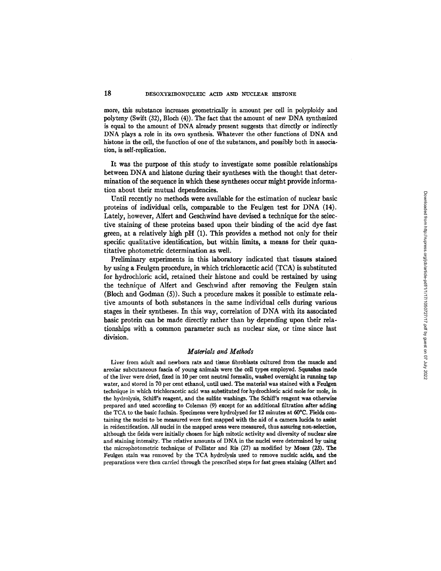## **18** DESOXYRIBONUCLEIC ACID AND NUCLEAR HISTONE

more, this substance increases geometrically in amount per cell in polyploidy and polyteny (Swift (32), Bloch (4)). The fact that the amount of new DNA synthesized is equal to the amount of DNA already present suggests that directly or indirectly DNA plays a role in its own synthesis. Whatever the other functions of DNA and histone in the cell, the function of one of the substances, and possibly both in association, is self-replication.

It was the purpose of this study to investigate some possible relationships between DNA and histone during their syntheses with the thought that determination of the sequence in which these syntheses occur might provide information about their mutual dependencies.

Until recently no methods were available for the estimation of nuclear basic proteins of individual cells, comparable to the Feulgen test for DNA (14). Lately, however, Alfert and Geschwind have devised a technique for the selective staining of these proteins based upon their binding of the acid dye fast green, at a relatively high pH (1). This provides a method not only for their specific qualitative identification, but within limits, a means for their quantitative photometric determination as well.

Preliminary experiments in this laboratory indicated that tissues stained by using a Feulgen procedure, in which trichloracetic acid (TCA) is substituted for hydrochloric acid, retained their histone and could be restained by using the technique of Alfert and Geschwind after removing the Feulgen stain (Bloch and Godman (5)). Such a procedure makes it possible to estimate relative amounts of both substances in the same individual cells during various stages in their syntheses. In this way, correlation of DNA with its associated basic protein can be made directly rather than by depending upon their relationships with a common parameter such as nuclear size, or time since last division.

#### *Materials and Methods*

Liver from adult and newborn rats and tissue fibroblasts cultured from the muscle and areolar subcutaneous fascia of young animals were the cell types employed. Squashes made of the liver were dried, fixed in 10 per cent neutral formalin, washed overnight in tanning tap water, and stored in 70 per cent ethanol, until used. The material was stained with a Feulgen technique in which trichloracetic acid was substituted for hydrochloric acid mole for mole, in the hydrolysis, Schiff's reagent, and the sulfite washings. The Schiff's reagent was otherwise prepared and used according to Coleman (9) except for an additional filtration after adding the TCA to the basic fuchsin. Specimens were hydrolyzed for 12 minutes at 60°C. Fields containing the nuclei to be measured were first mapped with the aid of a camera lucida to assist in reidentification. All nuclei in the mapped areas were measured, thus assuring non-selection, although the fields were initially chosen for high mitotic activity and diversity of nuclear size and staining intensity. The relative amounts of DNA in the nuclei were determined by using the microphotometric technique of Pollister and Ris (27) as modified by Moses (23). The Feulgen stain was removed by the TCA hydrolysis used to remove nucleic acids, and the preparations were then carried through the prescribed steps for fast green staining (Alfert and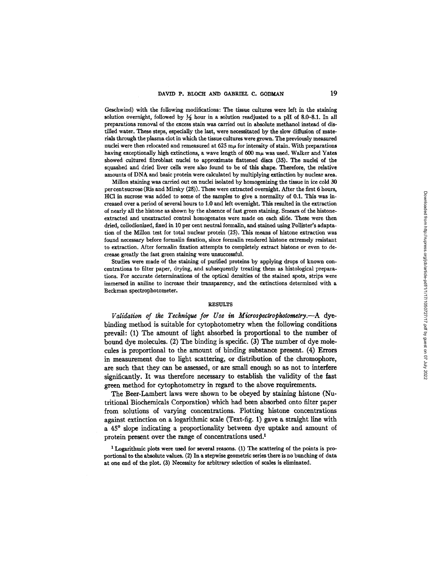Geschwind) with the following modifications: The tissue cultures were left in the staining solution overnight, followed by  $\frac{1}{2}$  hour in a solution readjusted to a pH of 8.0-8.1. In all preparations removal of the excess stain was carried out in absolute methanol instead of distilled water. These steps, especially the last, were necessitated by the slow diffusion of materials through the plasma clot in which the tissue cultures were grown. The previously measured nuclei were then relocated and remeasured at  $625 \text{ m}\mu$  for intensity of stain. With preparations having exceptionally high extinctions, a wave length of  $600 \text{ m}\mu$  was used. Walker and Yates showed cultured fibroblast nuclei to approximate flattened discs (35). The nuclei of the squashed and dried liver cells were also found to be of this shape. Therefore, the relative amounts of DNA and basic protein were calculated by multiplying extinction by nuclear area.

Millon staining was carried out on nuclei isolated by homogenizing the tissue in ice cold 30 per cent sucrose (Ris and Mirsky (28)). These were extracted overnight. After the first 6 hours, HC1 in sucrose was added to some of the samples to give a normality of 0.1. This was increased over a period of several hours to 1.0 and left overnight. This resulted in the extraction of nearly all the histone as shown by the absence of fast green staining. Smears of the histoneextracted and unextracted control homogenates were made on each slide. These were then dried, coUodionized, fixed in 10 per cent neutral formalin, and stained using Pollister's adaptation of the Millon test for total nuclear protein (25). This means of histone extraction was found necessary before formalin fixation, since formalin rendered histone extremely resistant to extraction. After formalin fixation attempts to completely extract histone or even to decrease greatly the fast green staining were unsuccessful.

Studies were made of the staining of purified proteins by applying drops of known concentrations to filter paper, drying, and subsequently treating them as histological preparations. For accurate determinations of the optical densities of the stained spots, sttips were immersed in aniline to increase their transparency, and the extinctions determined with a Beckman spectrophotometer.

### **RESULTS**

*Validation of the Technique for Use in Microspectrophotometry.*--A dyebinding method is suitable for cytophotometry when the following conditions prevail: (1) The amount of light absorbed is proportional to the number of bound dye molecules. (2) The binding is specific. (3) The number of dye molecules is proportional to the amount of binding substance present. (4) Errors in measurement due to light scattering, or distribution of the chromophore, are such that they can be assessed, or are small enough so as not to interfere significantly. It was therefore necessary to establish the validity of the fast green method for cytophotometry in regard to the above requirements.

The Beer-Lambert laws were shown to be obeyed by staining histone (Nutritional Biochemicals Corporation) which had been absorbed onto filter paper from solutions of varying concentrations. Plotting histone concentrations against extinction on a logarithmic scale (Text-fig. 1) gave a straight line with a 45° slope indicating a proportionality between dye uptake and amount of protein present over the range of concentrations used.<sup>1</sup>

<sup>1</sup> Logarithmic plots were used for several reasons. (1) The scattering of the points is proportional to the absolute values. (2) In a stepwise geometric series there is no bunching of data at one end of the plot. (3) Necessity for arbitrary selection of scales is eliminated.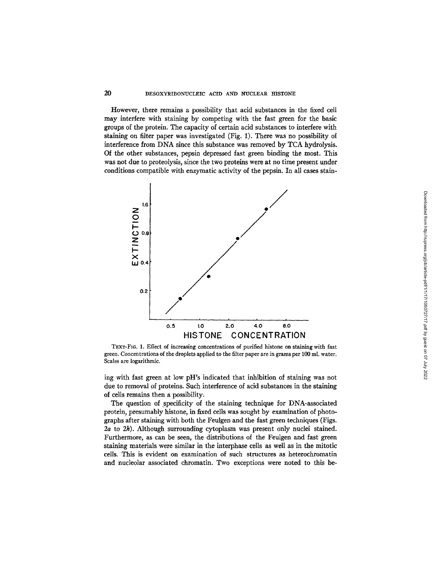## 20 DESOXYRIBONUCLEIC ACID AND NUCLEAR HISTONE

However, there remains a possibility that acid substances in the fixed cell may interfere with staining by competing with the fast green for the basic groups of the protein. The capacity of certain acid substances to interfere with staining on filter paper was investigated (Fig. i). There was no possibility of interference from DNA since this substance was removed by TCA hydrolysis. Of the other substances, pepsin depressed fast green binding the most. This was not due to proteolysis, since the two proteins were at no time present under conditions compatible with enzymatic activity of the pepsin. In all cases stain-



TEXT-FIG. 1. Effect of increasing concentrations of purified histone on staining with fast green. Concentrations of the droplets applied to the filter paper are in grams per 100 ml. water. Scales are logarithmic.

ing with fast green at low pH's indicated that inhibition of staining was not due to removal of proteins. Such interference of acid substances in the staining of cells remains then a possibility.

The question of specificity of the staining technique for DNA-associated protein, presumably histone, in fixed cells was sought by examination of photographs after staining with both the Feulgen and the fast green techniques (Figs. 2a to 2k). Although surrounding cytoplasm was present only nuclei stained. Furthermore, as can be seen, the distributions of the Feulgen and fast green staining materials were similar in the interphase cells as well as in the mitotic cells. This is evident on examination of such structures as heterochromatin and nucleolar associated chromatin. Two exceptions were noted to this be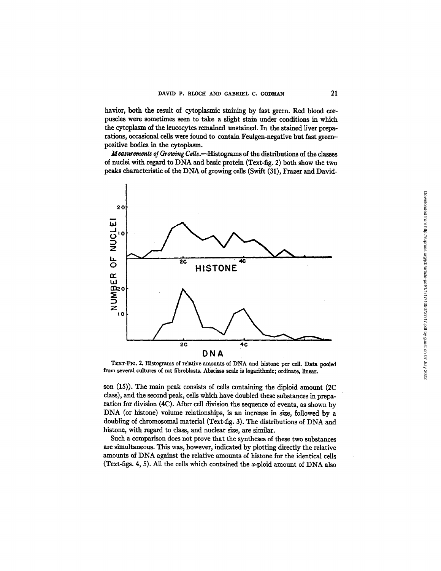havior, both the result of cytoplasmic staining by fast green. Red blood corpuscles were sometimes seen to take a slight stain under conditions in which the cytoplasm of the leucocytes remained unstained. In the stained liver preparations, occasional cells were found to contain Feulgen-negative but fast greenpositive bodies in the cytoplasm.

*Measurements of Growing Cells.*—Histograms of the distributions of the classes of nuclei with regard to DNA and basic protein (Text-fig. 2) both show the two peaks characteristic of the DNA of growing cells (Swift (31), Frazer and David-



TEXT-FIG. 2. Histograms of relative amounts of DNA and histone per cell. Data pooled from several cultures of rat flbroblasts. Abscissa scale is logarithmic; ordinate, linear.

son (15)). The main peak consists of cells containing the diploid amount (2C class), and the second peak, cells which have doubled these substances in preparation for division (4C). After cell division the sequence of events, as shown by DNA (or histone) volume relationships, is an increase in size, followed by a doubling of chromosomal material (Text-fig. 3). The distributions of DNA and histone, with regard to class, and nuclear size, are similar.

Such a comparison does not prove that the syntheses of these two substances are simultaneous. This was, however, indicated by plotting directly the relative amounts of DNA against the relative amounts of histone for the identical cells (Text-figs. 4, 5). All the cells which contained the x-ploid amount of DNA also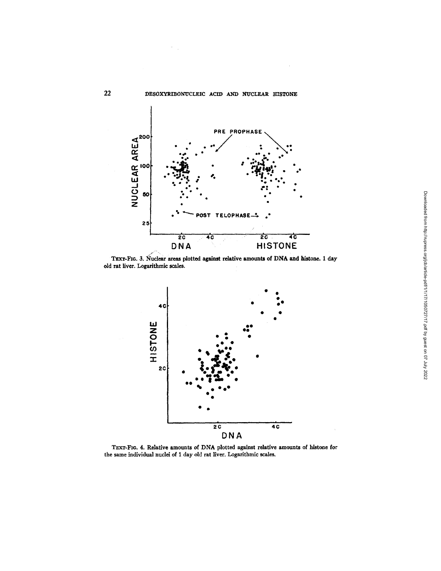

TEXT-FIG. 3. Nuclear areas plotted against relative amounts of DNA and histone. 1 day old rat liver. Logarithmic scales.



TEXT-FIG. 4. Relative amounts of DNA plotted against relative amounts of histone for the same individual nuclei of I day old rat liver. Logarithmic scales.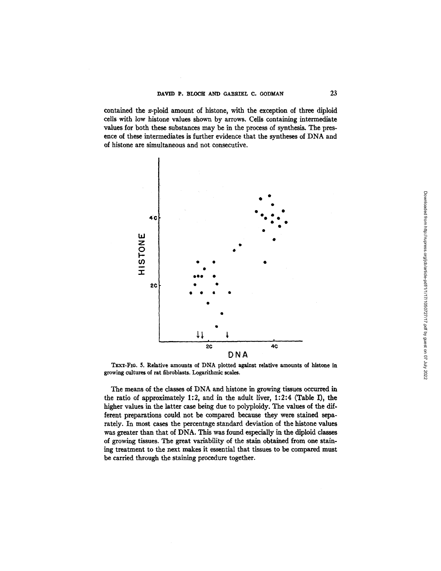contained the x-ploid amount of histone, with the exception of three diploid cells with low histone values shown by arrows. Cells containing intermediate values for both these substances may be in the process of synthesis. The presence of these intermediates is further evidence that the syntheses of DNA and of histone are simultaneous and not consecutive.



TEXT-FIG. 5. Relative amounts of DNA plotted against relative amounts of histone in growing cultures of rat fibroblasts. Logarithmic scales.

The means of the classes of DNA and histone in growing tissues occurred in the ratio of approximately 1:2, and in the adult liver, 1:2:4 (Table I), the higher values in the latter case being due to polyploidy. The values of the different preparations could not be compared because they were stained separately. In most cases the percentage standard deviation of the histone values was greater than that of DNA, This was found especially in the diploid classes of growing tissues. The great variability of the stain obtained from one staining treatment to the next makes it essential that tissues to be compared must be carried through the staining procedure together.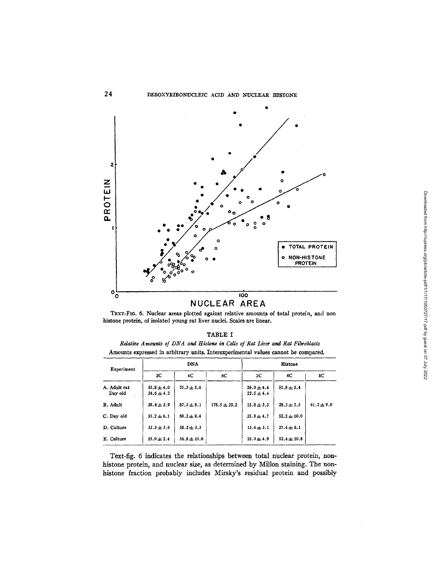

# NUCLEAR AREA

TExT-FIG. 6. Nuclear areas plotted against relative amounts of total protein, and non histone protein, of isolated young rat liver nuclei. Scales are linear.

| ٦<br>г<br>v<br>-<br>м |  |
|-----------------------|--|
|-----------------------|--|

*Relative Amounts of DNA and Histone in Cells of Rat Liver and Rat Fibroblasts* Amounts expressed in arbitrary units. Interexperimental values cannot be compared.

| Experiment              | <b>DNA</b>                     |                 |                  | Histone                          |                 |                |
|-------------------------|--------------------------------|-----------------|------------------|----------------------------------|-----------------|----------------|
|                         | 2C                             | 4C              | 8C.              | 2C                               | 4C              | 8C             |
| A. Adult rat<br>Day old | $35.8 + 4.0$<br>$34.6 \pm 4.2$ | $75.3 \pm 5.6$  |                  | $26.0 \pm 4.4$<br>$22.5 \pm 4.4$ | $51.8 \pm 5.4$  |                |
| B. Adult                | $38.4 \pm 3.9$                 | $87.3 \pm 8.1$  | $178.5 \pm 23.2$ | $15.8 \pm 3.5$                   | $28.3 \pm 5.5$  | $61.2 \pm 9.0$ |
| C. Day old              | $35.2 \pm 6.1$                 | $69.2 \pm 8.4$  |                  | $25.8 \pm 4.7$                   | $52.2 \pm 10.0$ |                |
| D. Culture              | $32.3 \pm 3.6$                 | $58.2 \pm 3.3$  |                  | $15.6 \pm 3.1$                   | $27.4 \pm 6.1$  |                |
| E. Culture              | $25.9 \pm 2.4$                 | $54.8 \pm 11.0$ |                  | $25.0 \pm 4.9$                   | $52.4 \pm 10.8$ |                |

Text-fig. 6 indicates the relationships between total nuclear protein, nonhistone protein, and nuclear size, as determined by Millon staining. The nonhistone fraction probably includes Mirsky's residual protein and possibly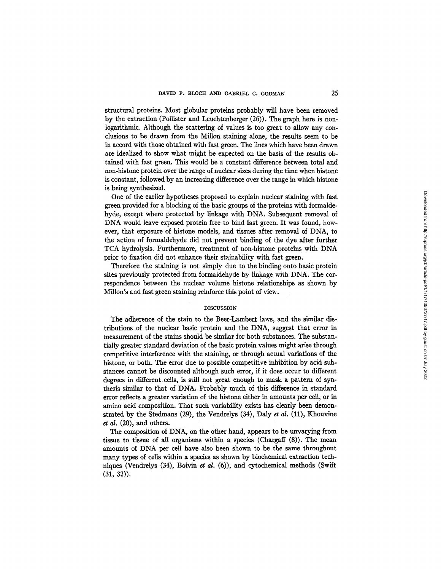structural proteins. Most globular proteins probably will have been removed by the extraction (Pollister and Leuchtenberger (26)). The graph here is nonlogarithmic. Although the scattering of values is too great to allow any conclusions to be drawn from the Millon staining alone, the results seem to be in accord with those obtained with fast green. The lines which have been drawn are idealized to show what might be expected on the basis of the results obtained with fast green. This would be a constant difference between total and non-histone protein over the range of nuclear sizes during the time when histone is constant, followed by an increasing difference over the range in which histone is being synthesized.

One of the earlier hypotheses proposed to explain nuclear staining with fast green provided for a blocking of the basic groups of the proteins with formaldehyde, except where protected by linkage with DNA. Subsequent removal of DNA would leave exposed protein free to bind fast green. It was found, however, that exposure of histone models, and tissues after removal of DNA, to the action of formaldehyde did not prevent binding of the dye after further TCA hydrolysis. Furthermore, treatment of non-histone proteins with DNA prior to fixation did not enhance their stainability with fast green.

Therefore the staining is not simply due to the binding onto basic protein sites previously protected from formaldehyde by linkage with DNA. The correspondence between the nuclear volume histone relationships as shown by Millon's and fast green staining reinforce this point of view.

### **DISCUSSION**

The adherence of the stain to the Beer-Lambert laws, and the similar distributions of the nuclear basic protein and the DNA, suggest that error in measurement of the stains should be similar for both substances. The substantially greater standard deviation of the basic protein values might arise through competitive interference with the staining, or through actual variations of the histone, or both. The error due to possible competitive inhibition by acid substances cannot be discounted although such error, if it does occur to different degrees in different cells, is still not great enough to mask a pattern of synthesis similar to that of DNA. Probably much of this difference in standard error reflects a greater variation of the histone either in amounts per cell, or in amino acid composition. That such variability exists has clearly been demonstrated by the Stedmans (29), the Vendrelys (34), Daly *et al.* (11), Khouvine *et al.* (20), and others.

The composition of DNA, on the other hand, appears to be unvarying from tissue to tissue of all organisms within a species (Chargaff (8)). The mean amounts of DNA per cell have also been shown to be the same throughout many types of cells within a species as shown by biochemical extraction techniques (Vendrelys (34), Boivin *et al.* (6)), and cytochemical methods (Swift **(31, 32)).**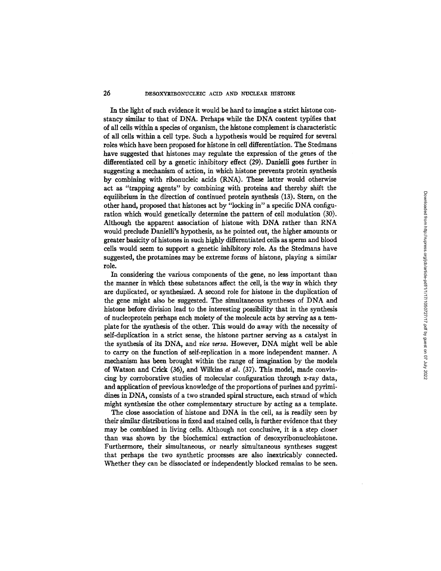## **26** DESOXYEIBONUCLEIC ACID AND NUCLEAR HISTONE

In the light of such evidence it would be hard to imagine a strict histone constancy similar to that of DNA. Perhaps while the DNA content typifies that of all ceils within a species of organism, the histone complement is characteristic of all cells within a cell type. Such a hypothesis would be required for several roles which have been proposed for histone in cell differentiation. The Stedrnans have suggested that histones may regulate the expression of the genes of the differentiated cell by a genetic inhibitory effect (29). Danielli goes further in suggesting a mechanism of action, in which histone prevents protein synthesis by combining with ribonucleic acids (RNA). These latter would otherwise act as "trapping agents" by combining with proteins and thereby shift the equilibrium in the direction of continued protein synthesis (13). Stern, on the other hand, proposed that histones act by "locking in" a specific DNA configuration which would genetically determine the pattern of cell modulation (30). Although the apparent association of histone with DNA rather than RNA would preclude Danielli's hypothesis, as he pointed out, the higher amounts or greater basicity of histones in such highly differentiated cells as sperm and blood cells would seem to support a genetic inhibitory role. As the Stedmans have suggested, the protamines may be extreme forms of histone, playing a similar role.

In considering the various components of the gene, no less important than the manner in which these substances affect the cell, is the way in which they are duplicated, or synthesized. A second role for histone in the duplication of the gene might also be suggested. The simultaneous syntheses of DNA and histone before division lead to the interesting possibility that in the synthesis of nucleoprotein perhaps each moiety of the molecule acts by serving as a template for the synthesis of the other. This would do away with the necessity of self-duplication in a strict sense, the histone partner serving as a catalyst in the synthesis of its DNA, and *vice versa*. However, DNA might well be able to carry on the function of self-replication in a more independent manner. A mechanism has been brought within the range of imagination by the models of Watson and Crick (36), and Wilkins *et at.* (37). This model, made convincing by corroborative studies of molecular configuration through x-ray data, and application of previous knowledge of the proportions of purines and pyrimidines in DNA, consists of a two stranded spiral structure, each strand of which might synthesize the other complementary structure by acting as a template.

The close association of histone and DNA in the cell, as is readily seen by their similar distributions in fixed and stained cells, is further evidence that they may be combined in living cells. Although not conclusive, it is a step closer than was shown by the biochemical extraction of desoxyribonucleohistone. Furthermore, their simultaneous, or nearly simultaneous syntheses suggest that perhaps the two synthetic processes are also inextricably connected. Whether they can be dissociated or independently blocked remains to be seen.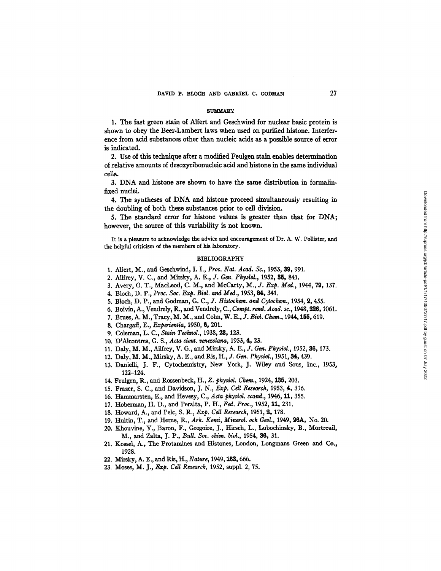## **SUMMARY**

1. The fast green stain of Alfert and Geschwind for nuclear basic protein is shown to obey the Beer-Lambert laws when used on purified histone. Interference from acid substances other than nucleic acids as a possible source of error is indicated.

2. Use of this technique after a modified Feulgen stain enables determination of relative amounts of desoxyribonucleic acid and histone in the same individual cells.

3. DNA and histone are shown to have the same distribution in formalinfixed nuclei.

4. The syntheses of DNA and histone proceed simultaneously resulting in the doubling of both these substances prior to cell division.

5. The standard error for histone values is greater than that for DNA; however, the source of this variability is not known.

It is a pleasure to acknowledge the advice and encouragement of Dr. A. W. Pollister, and the helpful criticism of the members of his laboratory.

### BIBLIOGRAPHY

- 1. Aliert, M., and Geschwind, I. I., *Proc. Nat. Acad.* So., 1953, 39, 991.
- 2. Allfrey, V. C., and Mirsky, A. E., *J. Gen. Physiol.*, 1952, 35, 841.
- 3. Avery, O. T., MacLeod, C. M., and McCarty, *M., J. Exp. Med.,* 1944, 79, 137.
- 4. Bloch, D. P., *Proc. Soc. Exp. Biol. and Med.,* 1953, 84, 341.
- 5. Bloch, D. P., and Godman, G. C., *J. Histochem. and Cytochem.*, 1954, 2, 455.
- 6. Boivin, A., Vendrely, R., and Vendrely, C., Compt. rend. Acad. sc., 1948, 226, 1061.
- 7. Braes, A. M., Tracy, M. M., and Cohn, W. E., J. B/ol. Chem., 1944,155, 619.
- 8. Chargaff, E., *Exporientia,* 1950, 6, 201.
- 9. Coleman, *L. C., Stain Technol.,* 1938, 22, 123.
- 10. D'Alcontres, G. S., *Acta dcrrt, vonezolana,* 1953, 4, 23.
- 11. Daly, M. M., Allfrey, V. G., and Mirsky, A. E., *J. Gen. Physiol.*, 1952, 36, 173.
- 12. Daly, M. M., Mirsky, A. E., and Ris, H., *J. Gen. Physiol.*, 1951, 34, 439.
- 13. Danielli, J. F., Cytochemistry, New York, J. Wiley and Sons, Inc., 1953, 122-124.
- 14. Feulgen, R., and Rossenbeck, H., Z. physiol. Chem., 1924, 135, 203.
- 15. Frazer, S. C., and Davidson, J. N., *Exp. Call Research,* 1953, 4, 316.
- 16. Hammarsten, E., and Hevesy, C., *Acta physiol. scand.*, 1946, 11, 355.
- 17. Hoberman, H. D., and Peralta, P. H., Fed. *Proc.,* 1952, it, 231.
- 18. Howard, A., and Pelc, S. R., *Exp. Ceil Research,* 1951, 2, 178.
- 19. Hultin, T., and Herne, R., Ark. Kemi, Minerol. och Geol., 1949, 26A, No. 20.
- 20. Khouvine, Y., Baron, F., Gregoire, J., Hirsch, L., Lubochinsky, B., Mortreuil, M., and *Zalta, J. P., Bull. Soc. chim. biol.,* 1954, 36, 31.
- 21. Kossel, A., The Protamines and Histones, London, Longmans Green and Co., 1928.
- 22. Mirsky, A. E., and Ris, H., *Nature,* 1949,16S, 666.
- 23. Moses, *M. J., Exp. Cdl Research,* 1952, suppl. 2, 75.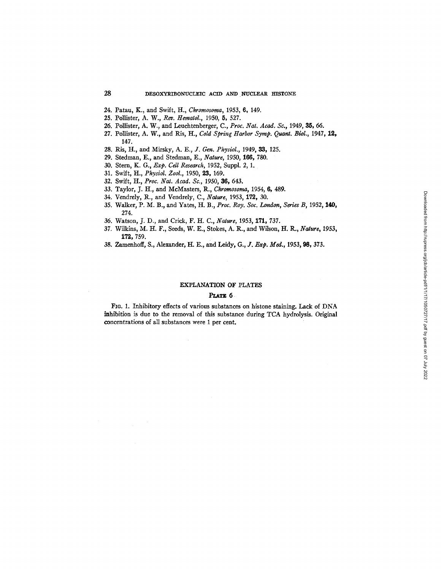- 24. Patau, K., and Swift, H., *Chromosoma,* 1953, 6, 149.
- 25. Pollister, *A. W., Rev. Hematol.,* 1950, 5, 527.
- 26. PoUister, A. W., and Leuchtenberger, C., *Proc. Nat. Acad. So.,* 1949, 33, 66.
- 27. Pollister, A. W., and Ris, H., *Cold Spring Harbor Symp. Quant. Biol.*, 1947, 12, 147.
- 28. Ris, H., and Mirsky, *A. E., J. Gen. Physiol.,* 1949, 33, 125.
- 29. Stedman, E., and Stedman, E., *Nature,* 1950, 166, 780.
- 30. Stern, K. G., *Exp. Cell Research,* 1952, Suppl. 2, 1.
- 31. Swift, H., *PhysioL Zool.,* 1950, 23, 159.
- 32. Swift, H., *Proc. Nat. Acad. So.,* 1950, 86, 643.
- 33. Taylor, J. H., and McMasters, R., *Chromosoma,* 1954, 6, 489.
- 34. Vendrely, R., and Vendrely, C., *Nature,* 1953, 172, 30.
- 35. Walker, P. M. B., and Yates, H. B., *Proc. Roy. Soc. London, Series B,* 1952, 140, 274.
- 36. Watson, J. D., and Crick, F. H. C., *Nature,* 1953, 171, 737.
- 37. Wilkins, M. H. F., Seeds, W. E., Stokes, A. R., and Wilson, H. R., *Nature,* 1953, 172, 759.
- 38. Zamenhoff, S., Alexander, H. E., and Leidy, *G., ]. Exp. Med.,* 1953, 98, 373.

## EXPLANATION OF PLATES

### **PLATE 6**

FIG. 1. Inhibitory effects of various substances on histone staining. Lack of DNA inhibition is due to the removal of this substance during TCA hydrolysis. Original concentrations of all substances were I per cent.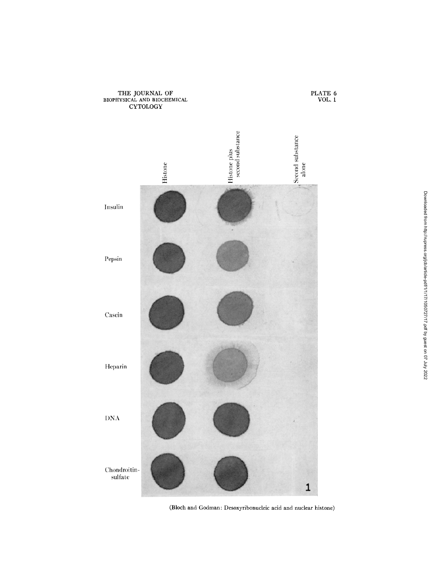

THE JOURNAL OF BIOPHYSICAL AND BIOCHEMICAL

(Bloch and Godman: Desoxyribonucleic acid and nuclear histone)

PLATE 6 VOL. 1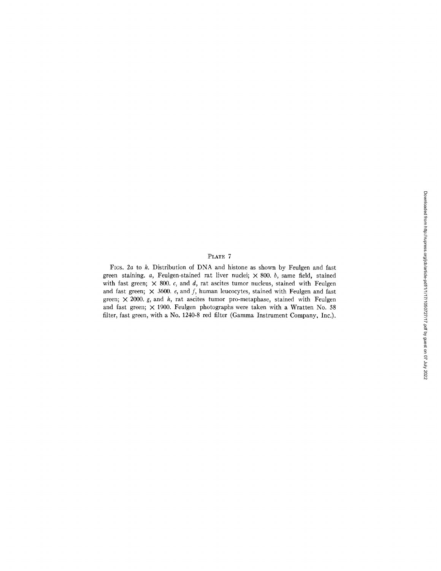# PLATE 7

FIGS.  $2a$  to  $h$ . Distribution of DNA and histone as shown by Feulgen and fast green staining.  $a$ , Feulgen-stained rat liver nuclei;  $\times$  800.  $b$ , same field, stained with fast green;  $\times$  800. c, and d, rat ascites tumor nucleus, stained with Feulgen and fast green;  $\times$  3600. e, and f, human leucocytes, stained with Feulgen and fast green;  $\times$  2000. *g*, and *h*, rat ascites tumor pro-metaphase, stained with Feulgen and fast green;  $\times$  1900. Feulgen photographs were taken with a Wratten No. 58 filter, fast green, with a No. 1240-8 red filter (Gamma Instrument Company, Inc.).